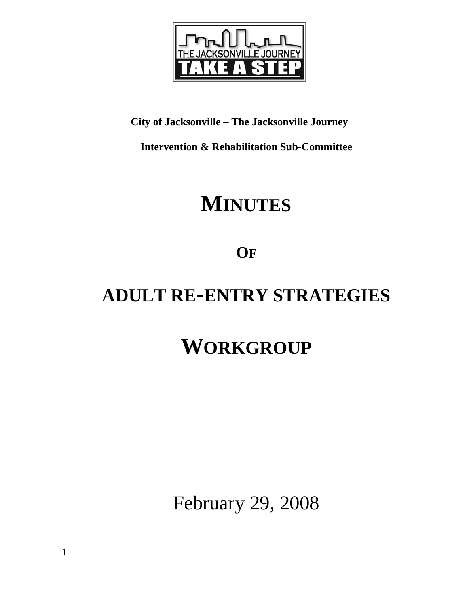

# **City of Jacksonville – The Jacksonville Journey**

**Intervention & Rehabilitation Sub-Committee** 

# **MINUTES**

**OF**

# **ADULT RE-ENTRY STRATEGIES**

# **WORKGROUP**

February 29, 2008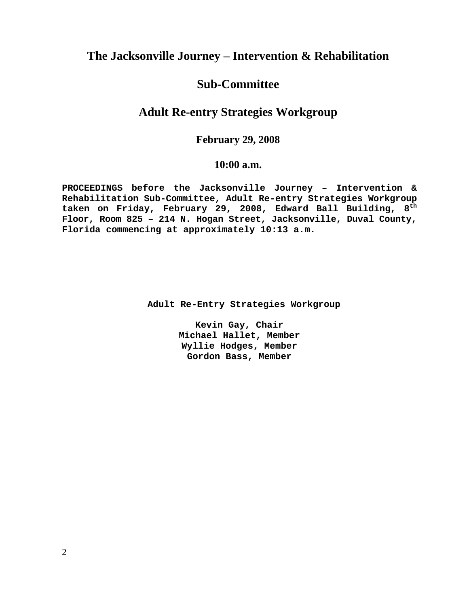## **The Jacksonville Journey – Intervention & Rehabilitation**

## **Sub-Committee**

## **Adult Re-entry Strategies Workgroup**

## **February 29, 2008**

## **10:00 a.m.**

**PROCEEDINGS before the Jacksonville Journey – Intervention & Rehabilitation Sub-Committee, Adult Re-entry Strategies Workgroup taken on Friday, February 29, 2008, Edward Ball Building, 8th Floor, Room 825 – 214 N. Hogan Street, Jacksonville, Duval County, Florida commencing at approximately 10:13 a.m.** 

 **Adult Re-Entry Strategies Workgroup** 

**Kevin Gay, Chair Michael Hallet, Member Wyllie Hodges, Member Gordon Bass, Member**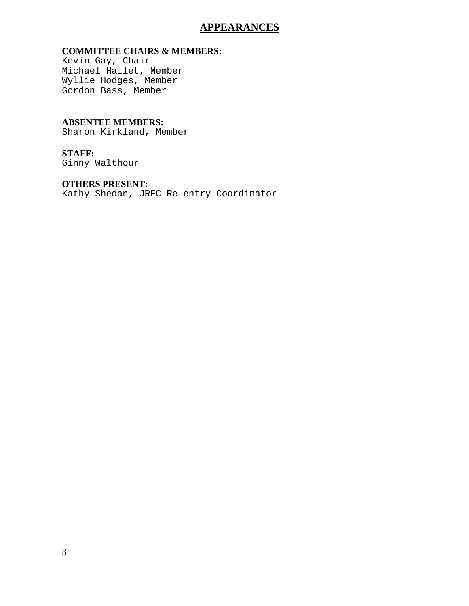## **APPEARANCES**

### **COMMITTEE CHAIRS & MEMBERS:**

Kevin Gay, Chair Michael Hallet, Member Wyllie Hodges, Member Gordon Bass, Member

### **ABSENTEE MEMBERS:** Sharon Kirkland, Member

# **STAFF:**

Ginny Walthour

### **OTHERS PRESENT:**

Kathy Shedan, JREC Re-entry Coordinator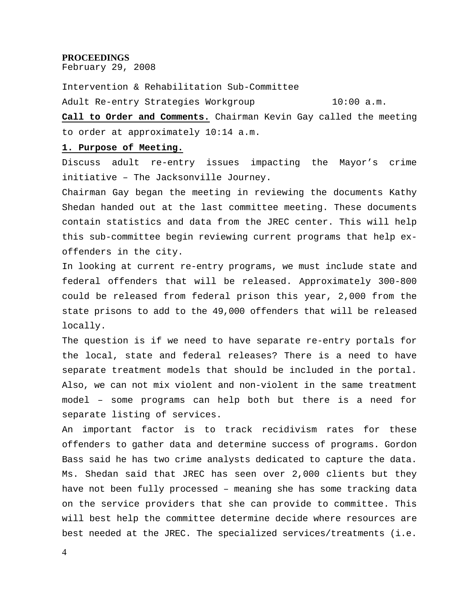#### **PROCEEDINGS**

February 29, 2008

Intervention & Rehabilitation Sub-Committee Adult Re-entry Strategies Workgroup 10:00 a.m.

**Call to Order and Comments.** Chairman Kevin Gay called the meeting to order at approximately 10:14 a.m.

#### **1. Purpose of Meeting.**

Discuss adult re-entry issues impacting the Mayor's crime initiative – The Jacksonville Journey.

Chairman Gay began the meeting in reviewing the documents Kathy Shedan handed out at the last committee meeting. These documents contain statistics and data from the JREC center. This will help this sub-committee begin reviewing current programs that help exoffenders in the city.

In looking at current re-entry programs, we must include state and federal offenders that will be released. Approximately 300-800 could be released from federal prison this year, 2,000 from the state prisons to add to the 49,000 offenders that will be released locally.

The question is if we need to have separate re-entry portals for the local, state and federal releases? There is a need to have separate treatment models that should be included in the portal. Also, we can not mix violent and non-violent in the same treatment model – some programs can help both but there is a need for separate listing of services.

An important factor is to track recidivism rates for these offenders to gather data and determine success of programs. Gordon Bass said he has two crime analysts dedicated to capture the data. Ms. Shedan said that JREC has seen over 2,000 clients but they have not been fully processed – meaning she has some tracking data on the service providers that she can provide to committee. This will best help the committee determine decide where resources are best needed at the JREC. The specialized services/treatments (i.e.

4